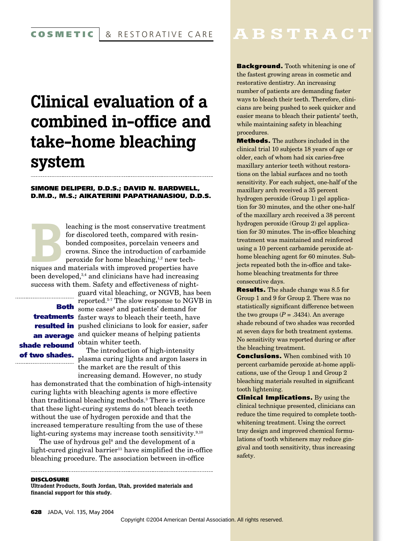# **Clinical evaluation of a combined in-office and take-home bleaching system**

#### **SIMONE DELIPERI, D.D.S.; DAVID N. BARDWELL, D.M.D., M.S.; AIKATERINI PAPATHANASIOU, D.D.S.**

leaching is the most conservative treatment<br>for discolored teeth, compared with resin-<br>bonded composites, porcelain veneers and<br>crowns. Since the introduction of carbamide<br>peroxide for home bleaching,<sup>1,2</sup> new tech-<br>niques for discolored teeth, compared with resinbonded composites, porcelain veneers and crowns. Since the introduction of carbamide peroxide for home bleaching, $1,2$  new techbeen developed,3,4 and clinicians have had increasing success with them. Safety and effectiveness of night-

**of two shades.** 

guard vital bleaching, or NGVB, has been reported.5-7 The slow response to NGVB in **Both** some cases<sup>8</sup> and patients' demand for **treatments** faster ways to bleach their teeth, have **resulted in** pushed clinicians to look for easier, safer an average and quicker means of helping patients shade rebound obtain whiter teeth.

The introduction of high-intensity plasma curing lights and argon lasers in the market are the result of this increasing demand. However, no study

has demonstrated that the combination of high-intensity curing lights with bleaching agents is more effective than traditional bleaching methods.3 There is evidence that these light-curing systems do not bleach teeth without the use of hydrogen peroxide and that the increased temperature resulting from the use of these light-curing systems may increase tooth sensitivity. $9,10$ 

The use of hydrous gel<sup>8</sup> and the development of a light-cured gingival barrier<sup>11</sup> have simplified the in-office bleaching procedure. The association between in-office

#### **DISCLOSURE**

**Ultradent Products, South Jordan, Utah, provided materials and financial support for this study.**

# **ABSTRACT**

restorative dentistry. An increasing<br>number of patients are demanding faster **A**restorative dentistry. An increasing **C O <sup>T</sup> <sup>I</sup> <sup>N</sup> <sup>U</sup> <sup>I</sup> <sup>N</sup> <sup>G</sup> <sup>E</sup> <sup>D</sup> <sup>U</sup> <sup>C</sup> <sup>A</sup> <sup>T</sup> <sup>I</sup> <sup>O</sup> <sup>N</sup>** cians are being pushed to seek quicker and easier means to bleach their patients' teeth, ways to bleach their teeth. Therefore, clini-**<sup>A</sup>RTICL<sup>E</sup> <sup>1</sup>** while maintaining safety in bleaching **Background.** Tooth whitening is one of the fastest growing areas in cosmetic and procedures.

**Methods.** The authors included in the clinical trial 10 subjects 18 years of age or older, each of whom had six caries-free maxillary anterior teeth without restorations on the labial surfaces and no tooth sensitivity. For each subject, one-half of the maxillary arch received a 35 percent hydrogen peroxide (Group 1) gel application for 30 minutes, and the other one-half of the maxillary arch received a 38 percent hydrogen peroxide (Group 2) gel application for 30 minutes. The in-office bleaching treatment was maintained and reinforced using a 10 percent carbamide peroxide athome bleaching agent for 60 minutes. Subjects repeated both the in-office and takehome bleaching treatments for three consecutive days.

**Results.** The shade change was 8.5 for Group 1 and 9 for Group 2. There was no statistically significant difference between the two groups  $(P = .3434)$ . An average shade rebound of two shades was recorded at seven days for both treatment systems. No sensitivity was reported during or after the bleaching treatment.

**Conclusions.** When combined with 10 percent carbamide peroxide at-home applications, use of the Group 1 and Group 2 bleaching materials resulted in significant tooth lightening.

**Clinical Implications.** By using the clinical technique presented, clinicians can reduce the time required to complete toothwhitening treatment. Using the correct tray design and improved chemical formulations of tooth whiteners may reduce gingival and tooth sensitivity, thus increasing safety.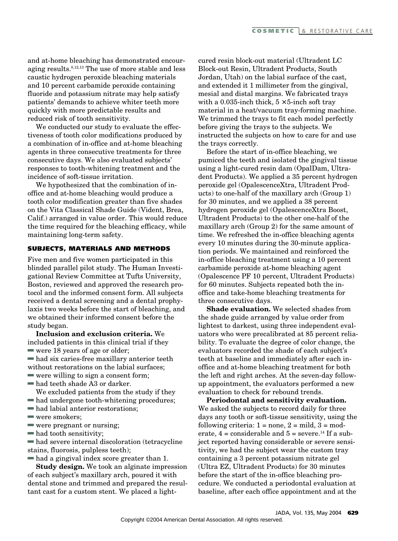and at-home bleaching has demonstrated encouraging results.8,12,13 The use of more stable and less caustic hydrogen peroxide bleaching materials and 10 percent carbamide peroxide containing fluoride and potassium nitrate may help satisfy patients' demands to achieve whiter teeth more quickly with more predictable results and reduced risk of tooth sensitivity.

We conducted our study to evaluate the effectiveness of tooth color modifications produced by a combination of in-office and at-home bleaching agents in three consecutive treatments for three consecutive days. We also evaluated subjects' responses to tooth-whitening treatment and the incidence of soft-tissue irritation.

We hypothesized that the combination of inoffice and at-home bleaching would produce a tooth color modification greater than five shades on the Vita Classical Shade Guide (Vident, Brea, Calif.) arranged in value order. This would reduce the time required for the bleaching efficacy, while maintaining long-term safety.

#### **SUBJECTS, MATERIALS AND METHODS**

Five men and five women participated in this blinded parallel pilot study. The Human Investigational Review Committee at Tufts University, Boston, reviewed and approved the research protocol and the informed consent form. All subjects received a dental screening and a dental prophylaxis two weeks before the start of bleaching, and we obtained their informed consent before the study began.

**Inclusion and exclusion criteria.** We included patients in this clinical trial if they were  $18$  years of age or older;

- $\blacksquare$  had six caries-free maxillary anterior teeth without restorations on the labial surfaces;
- were willing to sign a consent form;
- $\blacksquare$  had teeth shade A3 or darker.
- We excluded patients from the study if they
- $\blacksquare$  had undergone tooth-whitening procedures;
- $\blacksquare$  had labial anterior restorations;
- $\blacksquare$  were smokers:
- $\blacksquare$  were pregnant or nursing;
- $\blacksquare$  had tooth sensitivity;

 $\blacksquare$  had severe internal discoloration (tetracycline stains, fluorosis, pulpless teeth);

 $\blacksquare$  had a gingival index score greater than 1.

**Study design.** We took an alginate impression of each subject's maxillary arch, poured it with dental stone and trimmed and prepared the resultant cast for a custom stent. We placed a lightcured resin block-out material (Ultradent LC Block-out Resin, Ultradent Products, South Jordan, Utah) on the labial surface of the cast, and extended it 1 millimeter from the gingival, mesial and distal margins. We fabricated trays with a 0.035-inch thick,  $5 \times 5$ -inch soft tray material in a heat/vacuum tray-forming machine. We trimmed the trays to fit each model perfectly before giving the trays to the subjects. We instructed the subjects on how to care for and use the trays correctly.

Before the start of in-office bleaching, we pumiced the teeth and isolated the gingival tissue using a light-cured resin dam (OpalDam, Ultradent Products). We applied a 35 percent hydrogen peroxide gel (OpalescenceXtra, Ultradent Products) to one-half of the maxillary arch (Group 1) for 30 minutes, and we applied a 38 percent hydrogen peroxide gel (OpalescenceXtra Boost, Ultradent Products) to the other one-half of the maxillary arch (Group 2) for the same amount of time. We refreshed the in-office bleaching agents every 10 minutes during the 30-minute application periods. We maintained and reinforced the in-office bleaching treatment using a 10 percent carbamide peroxide at-home bleaching agent (Opalescence PF 10 percent, Ultradent Products) for 60 minutes. Subjects repeated both the inoffice and take-home bleaching treatments for three consecutive days.

**Shade evaluation.** We selected shades from the shade guide arranged by value order from lightest to darkest, using three independent evaluators who were precalibrated at 85 percent reliability. To evaluate the degree of color change, the evaluators recorded the shade of each subject's teeth at baseline and immediately after each inoffice and at-home bleaching treatment for both the left and right arches. At the seven-day followup appointment, the evaluators performed a new evaluation to check for rebound trends.

**Periodontal and sensitivity evaluation.** We asked the subjects to record daily for three days any tooth or soft-tissue sensitivity, using the following criteria:  $1 = none$ ,  $2 = mild$ ,  $3 = mod$ erate,  $4 =$  considerable and  $5 =$  severe.<sup>14</sup> If a subject reported having considerable or severe sensitivity, we had the subject wear the custom tray containing a 3 percent potassium nitrate gel (Ultra EZ, Ultradent Products) for 30 minutes before the start of the in-office bleaching procedure. We conducted a periodontal evaluation at baseline, after each office appointment and at the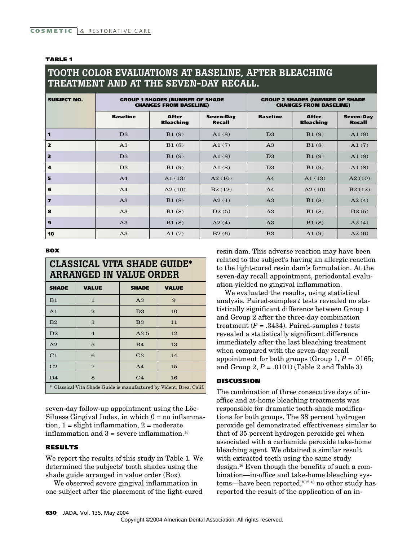#### **TABLE 1**

#### **TREATMENT AND AT THE SEVEN-DAY RECALL. 1 2 3 4 5 6 7 8 9 10 GROUP 1 SHADES (NUMBER OF SHADE CHANGES FROM BASELINE) GROUP 2 SHADES (NUMBER OF SHADE CHANGES FROM BASELINE) SUBJECT NO.** D3 A3 D<sub>3</sub> D3  $A<sub>4</sub>$  $A<sub>4</sub>$ A3  $A<sub>3</sub>$ A3  $A3$ B1 (9) B1 (8) B1 (9) B1 (9) A1 (13) A2 (10) B1 (8) B1 (8) B1 (8) A1 (7) A1 (8) A1 (7) A1 (8) A1 (8) A2 (10) B2 (12) A2 (4) D<sub>2</sub> $(5)$ A2 (4) B2 (6) D3 A3 D<sub>3</sub> D3  $A<sub>4</sub>$  $\overline{A4}$  $\overline{A3}$  $A<sub>3</sub>$  $A<sub>3</sub>$  $B<sub>3</sub>$ B1 (9) B1 (8) B1 (9) B1 (9) A1 (13) A2 (10) B1 (8) B1 (8) B1 (8) A1 (9) A1 (8) A1 (7) A1 (8) A1 (8) A2 (10) B2 (12)  $A2(4)$ D<sub>2</sub> (5) A2 (4) A2 (6) **Baseline After Bleaching Seven-Day Recall Baseline After Bleaching Seven-Day Recall**

## **TOOTH COLOR EVALUATIONS AT BASELINE, AFTER BLEACHING**

#### **BOX**

| <b>CLASSICAL VITA SHADE GUIDE*</b><br><b>ARRANGED IN VALUE ORDER</b>    |                |                |              |  |  |  |
|-------------------------------------------------------------------------|----------------|----------------|--------------|--|--|--|
| <b>SHADE</b>                                                            | <b>VALUE</b>   | <b>SHADE</b>   | <b>VALUE</b> |  |  |  |
| B1                                                                      | $\mathbf{1}$   | A <sub>3</sub> | 9            |  |  |  |
| A <sub>1</sub>                                                          | $\mathbf{2}$   | D <sub>3</sub> | 10           |  |  |  |
| B <sub>2</sub>                                                          | 3              | B <sub>3</sub> | 11           |  |  |  |
| D <sub>2</sub>                                                          | $\overline{4}$ | A3.5           | 12           |  |  |  |
| A <sub>2</sub>                                                          | 5              | B4             | 13           |  |  |  |
| C1                                                                      | 6              | C <sub>3</sub> | 14           |  |  |  |
| C <sub>2</sub>                                                          | 7              | A <sub>4</sub> | 15           |  |  |  |
| $\mathbf{D}4$                                                           | 8              | C <sub>4</sub> | 16           |  |  |  |
| Classical Vita Shade Guide is manufactured by Vident, Brea, Calif.<br>∗ |                |                |              |  |  |  |

seven-day follow-up appointment using the Löe-Silness Gingival Index, in which  $0 =$  no inflammation,  $1 =$  slight inflammation,  $2 =$  moderate inflammation and  $3$  = severe inflammation.<sup>15</sup>

#### **RESULTS**

We report the results of this study in Table 1. We determined the subjects' tooth shades using the shade guide arranged in value order (Box).

We observed severe gingival inflammation in one subject after the placement of the light-cured resin dam. This adverse reaction may have been related to the subject's having an allergic reaction to the light-cured resin dam's formulation. At the seven-day recall appointment, periodontal evaluation yielded no gingival inflammation.

We evaluated the results, using statistical analysis. Paired-samples *t* tests revealed no statistically significant difference between Group 1 and Group 2 after the three-day combination treatment  $(P = .3434)$ . Paired-samples *t* tests revealed a statistically significant difference immediately after the last bleaching treatment when compared with the seven-day recall appointment for both groups (Group  $1, P = .0165$ ; and Group 2,  $P = .0101$  (Table 2 and Table 3).

### **DISCUSSION**

The combination of three consecutive days of inoffice and at-home bleaching treatments was responsible for dramatic tooth-shade modifications for both groups. The 38 percent hydrogen peroxide gel demonstrated effectiveness similar to that of 35 percent hydrogen peroxide gel when associated with a carbamide peroxide take-home bleaching agent. We obtained a similar result with extracted teeth using the same study design.16 Even though the benefits of such a combination—in-office and take-home bleaching systems—have been reported, $8,12,13$  no other study has reported the result of the application of an in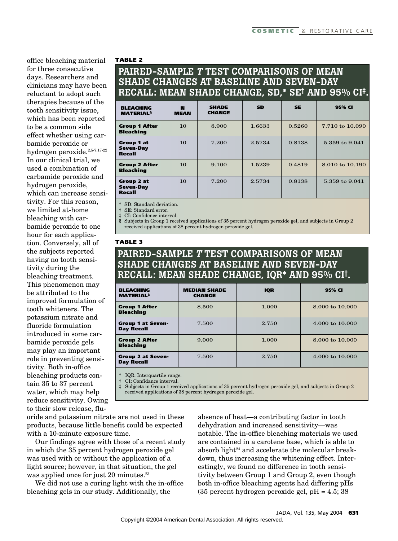office bleaching material for three consecutive days. Researchers and clinicians may have been reluctant to adopt such therapies because of the tooth sensitivity issue, which has been reported to be a common side effect whether using carbamide peroxide or hydrogen peroxide.2,5-7,17-22 In our clinical trial, we used a combination of carbamide peroxide and hydrogen peroxide, which can increase sensitivity. For this reason, we limited at-home bleaching with carbamide peroxide to one hour for each application. Conversely, all of the subjects reported having no tooth sensitivity during the bleaching treatment. This phenomenon may be attributed to the improved formulation of tooth whiteners. The potassium nitrate and fluoride formulation introduced in some carbamide peroxide gels may play an important role in preventing sensitivity. Both in-office bleaching products contain 35 to 37 percent water, which may help reduce sensitivity. Owing to their slow release, flu-

#### **TABLE 2**

### **PAIRED-SAMPLE** *T* **TEST COMPARISONS OF MEAN SHADE CHANGES AT BASELINE AND SEVEN-DAY RECALL: MEAN SHADE CHANGE, SD,\* SE† AND 95% CI‡.**

| <b>BLEACHING</b><br><b>MATERIALS</b>                   | N<br><b>MEAN</b> | <b>SHADE</b><br><b>CHANGE</b> | <b>SD</b> | <b>SE</b> | 95% CI          |
|--------------------------------------------------------|------------------|-------------------------------|-----------|-----------|-----------------|
| <b>Group 1 After</b><br><b>Bleaching</b>               | 10               | 8.900                         | 1.6633    | 0.5260    | 7.710 to 10.090 |
| <b>Group 1 at</b><br><b>Seven-Day</b><br><b>Recall</b> | 10               | 7.200                         | 2.5734    | 0.8138    | 5.359 to 9.041  |
| <b>Group 2 After</b><br><b>Bleaching</b>               | 10               | 9.100                         | 1.5239    | 0.4819    | 8.010 to 10.190 |
| Group 2 at<br><b>Seven-Day</b><br><b>Recall</b>        | 10               | 7.200                         | 2.5734    | 0.8138    | 5.359 to 9.041  |

\* SD: Standard deviation.

† SE: Standard error.

CI: Confidence interval.

§ Subjects in Group 1 received applications of 35 percent hydrogen peroxide gel, and subjects in Group 2 received applications of 38 percent hydrogen peroxide gel.

#### **TABLE 3**

### **PAIRED-SAMPLE** *T* **TEST COMPARISONS OF MEAN SHADE CHANGES AT BASELINE AND SEVEN-DAY RECALL: MEAN SHADE CHANGE, IQR\* AND 95% CI†.**

| <b>BLEACHING</b><br><b>MATERIAL</b> #    | <b>MEDIAN SHADE</b><br><b>CHANGE</b> | <b>IQR</b> | 95% CI          |
|------------------------------------------|--------------------------------------|------------|-----------------|
| <b>Group 1 After</b><br><b>Bleaching</b> | 8.500                                | 1.000      | 8.000 to 10.000 |
| Group 1 at Seven-<br><b>Day Recall</b>   | 7.500                                | 2.750      | 4,000 to 10,000 |
| <b>Group 2 After</b><br><b>Bleaching</b> | 9.000                                | 1.000      | 8.000 to 10.000 |
| Group 2 at Seven-<br><b>Day Recall</b>   | 7.500                                | 2.750      | 4,000 to 10,000 |

IQR: Interquartile range.

CI: Confidance interval.

Subjects in Group 1 received applications of 35 percent hydrogen peroxide gel, and subjects in Group 2 received applications of 38 percent hydrogen peroxide gel.

oride and potassium nitrate are not used in these products, because little benefit could be expected with a 10-minute exposure time.

Our findings agree with those of a recent study in which the 35 percent hydrogen peroxide gel was used with or without the application of a light source; however, in that situation, the gel was applied once for just 20 minutes.<sup>23</sup>

We did not use a curing light with the in-office bleaching gels in our study. Additionally, the

absence of heat—a contributing factor in tooth dehydration and increased sensitivity—was notable. The in-office bleaching materials we used are contained in a carotene base, which is able to absorb light $24$  and accelerate the molecular breakdown, thus increasing the whitening effect. Interestingly, we found no difference in tooth sensitivity between Group 1 and Group 2, even though both in-office bleaching agents had differing pHs  $(35$  percent hydrogen peroxide gel, pH = 4.5; 38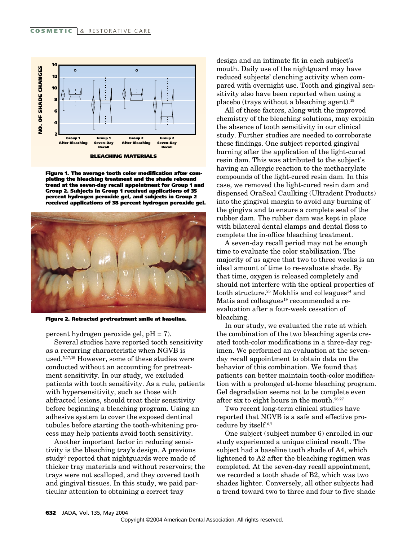

**Figure 1. The average tooth color modification after completing the bleaching treatment and the shade rebound trend at the seven-day recall appointment for Group 1 and Group 2. Subjects in Group 1 received applications of 35 percent hydrogen peroxide gel, and subjects in Group 2 received applications of 38 percent hydrogen peroxide gel.**



**Figure 2. Retracted pretreatment smile at baseline.**

percent hydrogen peroxide gel, pH = 7).

Several studies have reported tooth sensitivity as a recurring characteristic when NGVB is used.5,17,19 However, some of these studies were conducted without an accounting for pretreatment sensitivity. In our study, we excluded patients with tooth sensitivity. As a rule, patients with hypersensitivity, such as those with abfracted lesions, should treat their sensitivity before beginning a bleaching program. Using an adhesive system to cover the exposed dentinal tubules before starting the tooth-whitening process may help patients avoid tooth sensitivity.

Another important factor in reducing sensitivity is the bleaching tray's design. A previous study<sup>5</sup> reported that nightguards were made of thicker tray materials and without reservoirs; the trays were not scalloped, and they covered tooth and gingival tissues. In this study, we paid particular attention to obtaining a correct tray

design and an intimate fit in each subject's mouth. Daily use of the nightguard may have reduced subjects' clenching activity when compared with overnight use. Tooth and gingival sensitivity also have been reported when using a placebo (trays without a bleaching agent).<sup>19</sup>

All of these factors, along with the improved chemistry of the bleaching solutions, may explain the absence of tooth sensitivity in our clinical study. Further studies are needed to corroborate these findings. One subject reported gingival burning after the application of the light-cured resin dam. This was attributed to the subject's having an allergic reaction to the methacrylate compounds of the light-cured resin dam. In this case, we removed the light-cured resin dam and dispensed OraSeal Caulking (Ultradent Products) into the gingival margin to avoid any burning of the gingiva and to ensure a complete seal of the rubber dam. The rubber dam was kept in place with bilateral dental clamps and dental floss to complete the in-office bleaching treatment.

A seven-day recall period may not be enough time to evaluate the color stabilization. The majority of us agree that two to three weeks is an ideal amount of time to re-evaluate shade. By that time, oxygen is released completely and should not interfere with the optical properties of tooth structure.<sup>25</sup> Mokhlis and colleagues<sup>14</sup> and Matis and colleagues $19$  recommended a reevaluation after a four-week cessation of bleaching.

In our study, we evaluated the rate at which the combination of the two bleaching agents created tooth-color modifications in a three-day regimen. We performed an evaluation at the sevenday recall appointment to obtain data on the behavior of this combination. We found that patients can better maintain tooth-color modification with a prolonged at-home bleaching program. Gel degradation seems not to be complete even after six to eight hours in the mouth.<sup>26,27</sup>

Two recent long-term clinical studies have reported that NGVB is a safe and effective procedure by itself.6,7

One subject (subject number 6) enrolled in our study experienced a unique clinical result. The subject had a baseline tooth shade of A4, which lightened to A2 after the bleaching regimen was completed. At the seven-day recall appointment, we recorded a tooth shade of B2, which was two shades lighter. Conversely, all other subjects had a trend toward two to three and four to five shade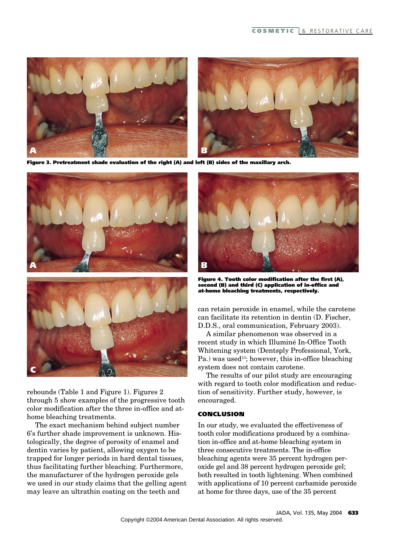

**Figure 3. Pretreatment shade evaluation of the right (A) and left (B) sides of the maxillary arch.**





**C**

The exact mechanism behind subject number 6's further shade improvement is unknown. Histologically, the degree of porosity of enamel and dentin varies by patient, allowing oxygen to be trapped for longer periods in hard dental tissues, thus facilitating further bleaching. Furthermore, the manufacturer of the hydrogen peroxide gels we used in our study claims that the gelling agent may leave an ultrathin coating on the teeth and



**Figure 4. Tooth color modification after the first (A), second (B) and third (C) application of in-office and at-home bleaching treatments, respectively.**

can retain peroxide in enamel, while the carotene can facilitate its retention in dentin (D. Fischer, D.D.S., oral communication, February 2003).

A similar phenomenon was observed in a recent study in which Illuminé In-Office Tooth Whitening system (Dentsply Professional, York,  $Pa.$ ) was used<sup>13</sup>; however, this in-office bleaching system does not contain carotene.

The results of our pilot study are encouraging with regard to tooth color modification and reduction of sensitivity. Further study, however, is encouraged.

#### **CONCLUSION**

In our study, we evaluated the effectiveness of tooth color modifications produced by a combination in-office and at-home bleaching system in three consecutive treatments. The in-office bleaching agents were 35 percent hydrogen peroxide gel and 38 percent hydrogen peroxide gel; both resulted in tooth lightening. When combined with applications of 10 percent carbamide peroxide at home for three days, use of the 35 percent